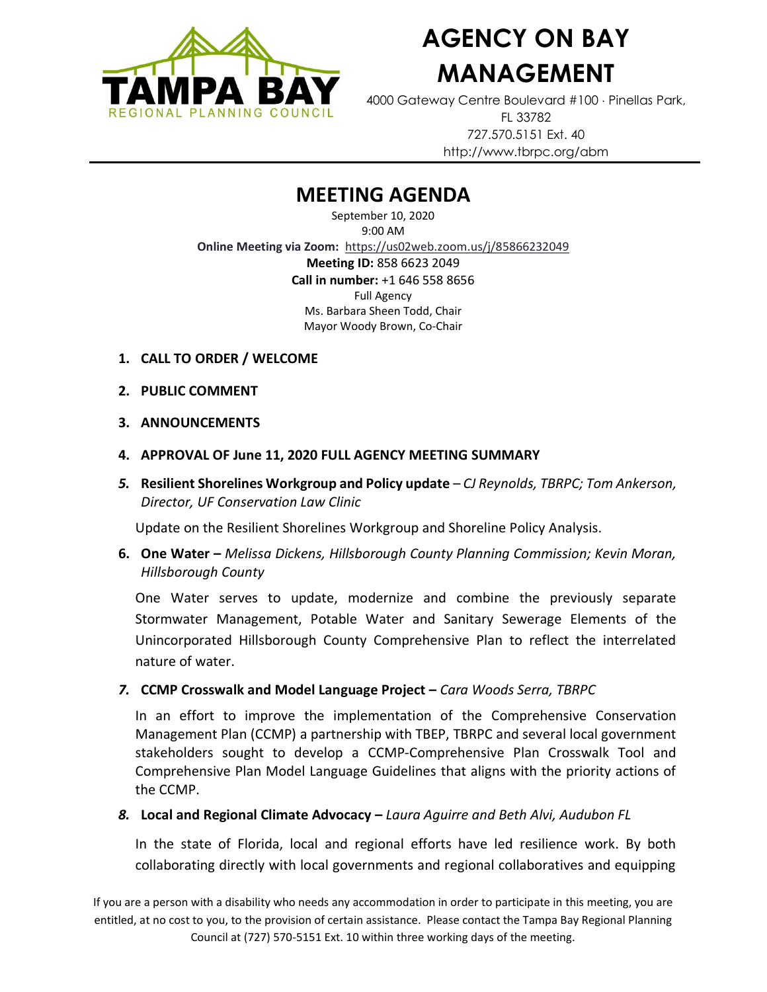

# **AGENCY ON BAY MANAGEMENT**

4000 Gateway Centre Boulevard #100 Pinellas Park, FL 33782 727.570.5151 Ext. 40 http://www.tbrpc.org/abm

# **MEETING AGENDA**

September 10, 2020 9:00 AM **Online Meeting via Zoom:** <https://us02web.zoom.us/j/85866232049> **Meeting ID:** 858 6623 2049 **Call in number:** +1 646 558 8656 Full Agency Ms. Barbara Sheen Todd, Chair Mayor Woody Brown, Co-Chair

- **1. CALL TO ORDER / WELCOME**
- **2. PUBLIC COMMENT**
- **3. ANNOUNCEMENTS**
- **4. APPROVAL OF June 11, 2020 FULL AGENCY MEETING SUMMARY**
- *5.* **Resilient Shorelines Workgroup and Policy update** *CJ Reynolds, TBRPC; Tom Ankerson, Director, UF Conservation Law Clinic*

Update on the Resilient Shorelines Workgroup and Shoreline Policy Analysis.

**6. One Water –** *Melissa Dickens, Hillsborough County Planning Commission; Kevin Moran, Hillsborough County*

One Water serves to update, modernize and combine the previously separate Stormwater Management, Potable Water and Sanitary Sewerage Elements of the Unincorporated Hillsborough County Comprehensive Plan to reflect the interrelated nature of water.

*7.* **CCMP Crosswalk and Model Language Project –** *Cara Woods Serra, TBRPC*

In an effort to improve the implementation of the [Comprehensive Conservation](https://www.tbeptech.org/data/ccmp/230-2017-ccmp-update)  [Management Plan \(CCMP\)](https://www.tbeptech.org/data/ccmp/230-2017-ccmp-update) a partnership with TBEP, TBRPC and several local government stakeholders sought to develop a [CCMP-Comprehensive Plan Crosswalk Tool](http://www.tbrpc.org/wp-content/uploads/2020/07/CCMP-Crosswalk-Matrix.pdf) and [Comprehensive Plan Model Language Guidelines](http://www.tbrpc.org/wp-content/uploads/2020/07/CCMP-Model-Language-Guidelines.pdf) that aligns with the priority actions of the CCMP.

#### *8.* **Local and Regional Climate Advocacy –** *Laura Aguirre and Beth Alvi, Audubon FL*

In the state of Florida, local and regional efforts have led resilience work. By both collaborating directly with local governments and regional collaboratives and equipping

If you are a person with a disability who needs any accommodation in order to participate in this meeting, you are entitled, at no cost to you, to the provision of certain assistance. Please contact the Tampa Bay Regional Planning Council at (727) 570-5151 Ext. 10 within three working days of the meeting.